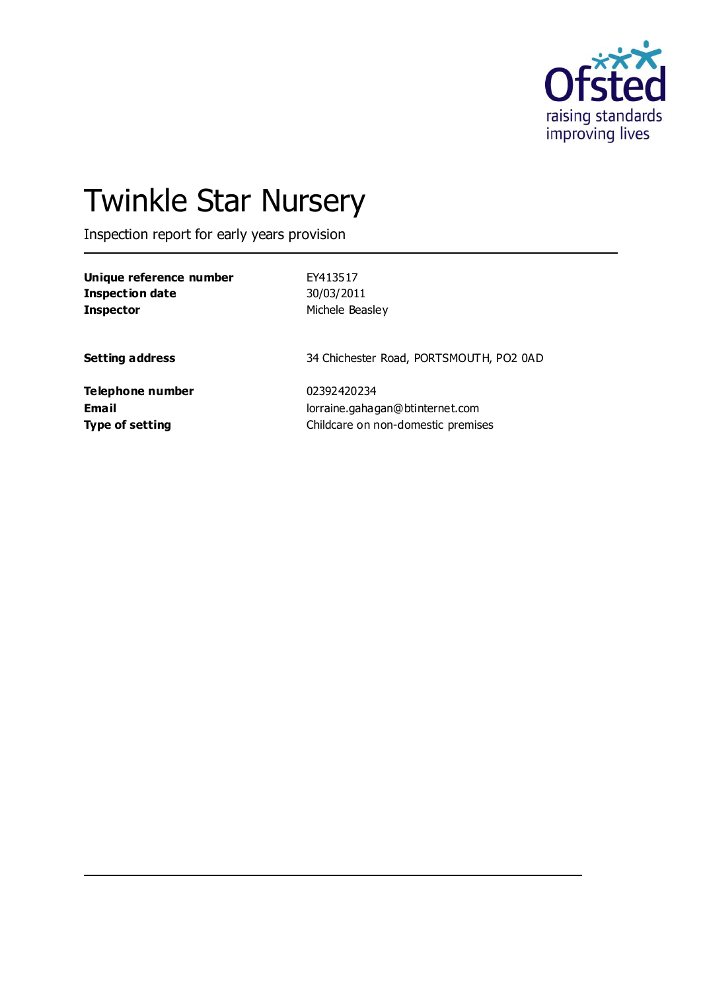

# Twinkle Star Nursery

Inspection report for early years provision

| Unique reference number | EY413517        |
|-------------------------|-----------------|
| Inspection date         | 30/03/2011      |
| <b>Inspector</b>        | Michele Beasley |

**Setting address** 34 Chichester Road, PORTSMOUTH, PO2 0AD

**Telephone number** 02392420234

**Email** lorraine.gahagan@btinternet.com **Type of setting Childcare on non-domestic premises**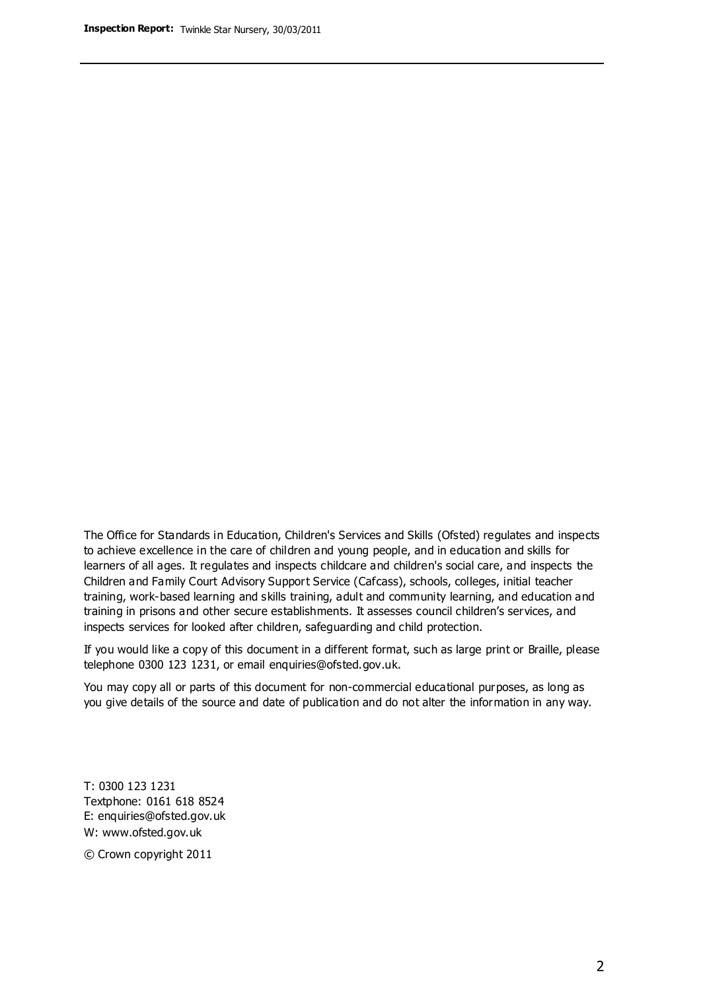The Office for Standards in Education, Children's Services and Skills (Ofsted) regulates and inspects to achieve excellence in the care of children and young people, and in education and skills for learners of all ages. It regulates and inspects childcare and children's social care, and inspects the Children and Family Court Advisory Support Service (Cafcass), schools, colleges, initial teacher training, work-based learning and skills training, adult and community learning, and education and training in prisons and other secure establishments. It assesses council children's services, and inspects services for looked after children, safeguarding and child protection.

If you would like a copy of this document in a different format, such as large print or Braille, please telephone 0300 123 1231, or email enquiries@ofsted.gov.uk.

You may copy all or parts of this document for non-commercial educational purposes, as long as you give details of the source and date of publication and do not alter the information in any way.

T: 0300 123 1231 Textphone: 0161 618 8524 E: enquiries@ofsted.gov.uk W: [www.ofsted.gov.uk](http://www.ofsted.gov.uk/)

© Crown copyright 2011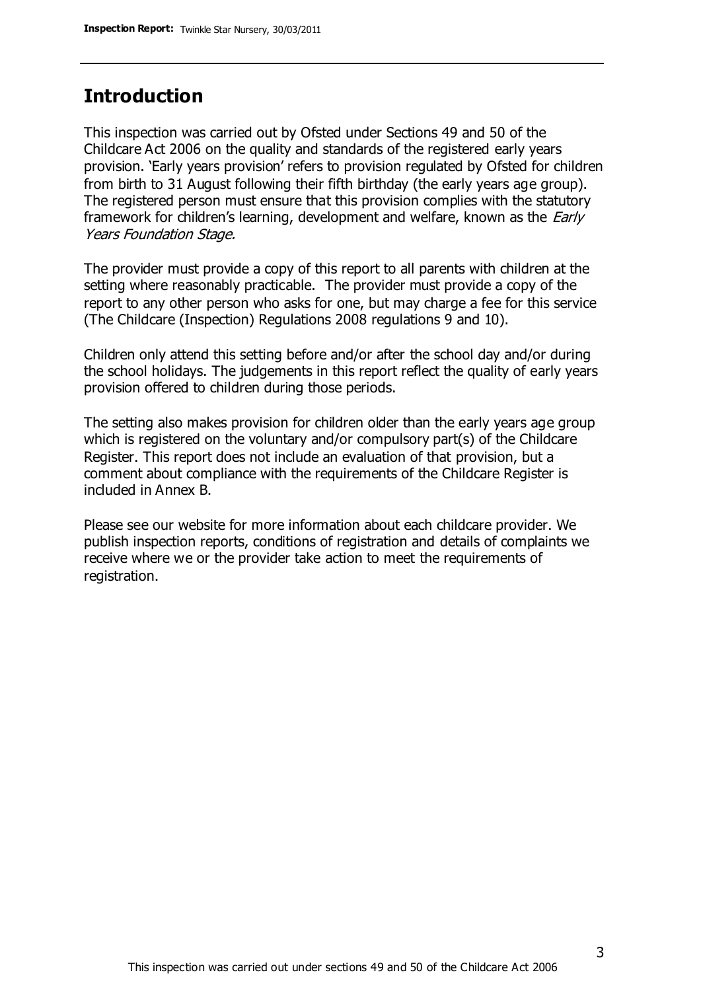### **Introduction**

This inspection was carried out by Ofsted under Sections 49 and 50 of the Childcare Act 2006 on the quality and standards of the registered early years provision. 'Early years provision' refers to provision regulated by Ofsted for children from birth to 31 August following their fifth birthday (the early years age group). The registered person must ensure that this provision complies with the statutory framework for children's learning, development and welfare, known as the *Early* Years Foundation Stage.

The provider must provide a copy of this report to all parents with children at the setting where reasonably practicable. The provider must provide a copy of the report to any other person who asks for one, but may charge a fee for this service (The Childcare (Inspection) Regulations 2008 regulations 9 and 10).

Children only attend this setting before and/or after the school day and/or during the school holidays. The judgements in this report reflect the quality of early years provision offered to children during those periods.

The setting also makes provision for children older than the early years age group which is registered on the voluntary and/or compulsory part(s) of the Childcare Register. This report does not include an evaluation of that provision, but a comment about compliance with the requirements of the Childcare Register is included in Annex B.

Please see our website for more information about each childcare provider. We publish inspection reports, conditions of registration and details of complaints we receive where we or the provider take action to meet the requirements of registration.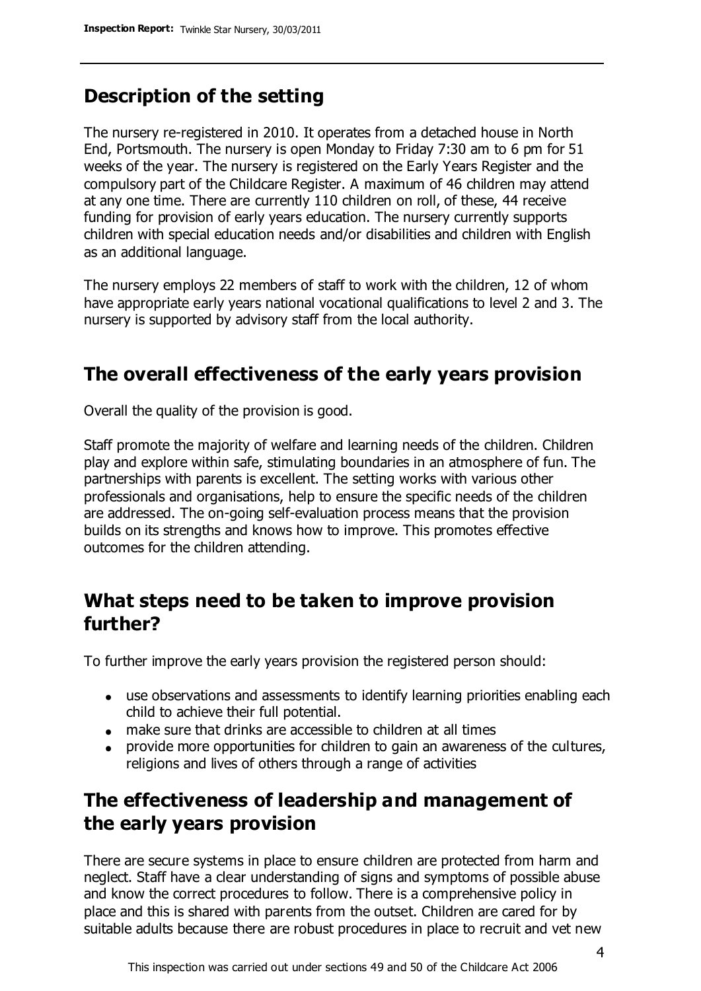## **Description of the setting**

The nursery re-registered in 2010. It operates from a detached house in North End, Portsmouth. The nursery is open Monday to Friday 7:30 am to 6 pm for 51 weeks of the year. The nursery is registered on the Early Years Register and the compulsory part of the Childcare Register. A maximum of 46 children may attend at any one time. There are currently 110 children on roll, of these, 44 receive funding for provision of early years education. The nursery currently supports children with special education needs and/or disabilities and children with English as an additional language.

The nursery employs 22 members of staff to work with the children, 12 of whom have appropriate early years national vocational qualifications to level 2 and 3. The nursery is supported by advisory staff from the local authority.

### **The overall effectiveness of the early years provision**

Overall the quality of the provision is good.

Staff promote the majority of welfare and learning needs of the children. Children play and explore within safe, stimulating boundaries in an atmosphere of fun. The partnerships with parents is excellent. The setting works with various other professionals and organisations, help to ensure the specific needs of the children are addressed. The on-going self-evaluation process means that the provision builds on its strengths and knows how to improve. This promotes effective outcomes for the children attending.

### **What steps need to be taken to improve provision further?**

To further improve the early years provision the registered person should:

- use observations and assessments to identify learning priorities enabling each child to achieve their full potential.
- make sure that drinks are accessible to children at all times
- provide more opportunities for children to gain an awareness of the cultures,  $\bullet$ religions and lives of others through a range of activities

# **The effectiveness of leadership and management of the early years provision**

There are secure systems in place to ensure children are protected from harm and neglect. Staff have a clear understanding of signs and symptoms of possible abuse and know the correct procedures to follow. There is a comprehensive policy in place and this is shared with parents from the outset. Children are cared for by suitable adults because there are robust procedures in place to recruit and vet new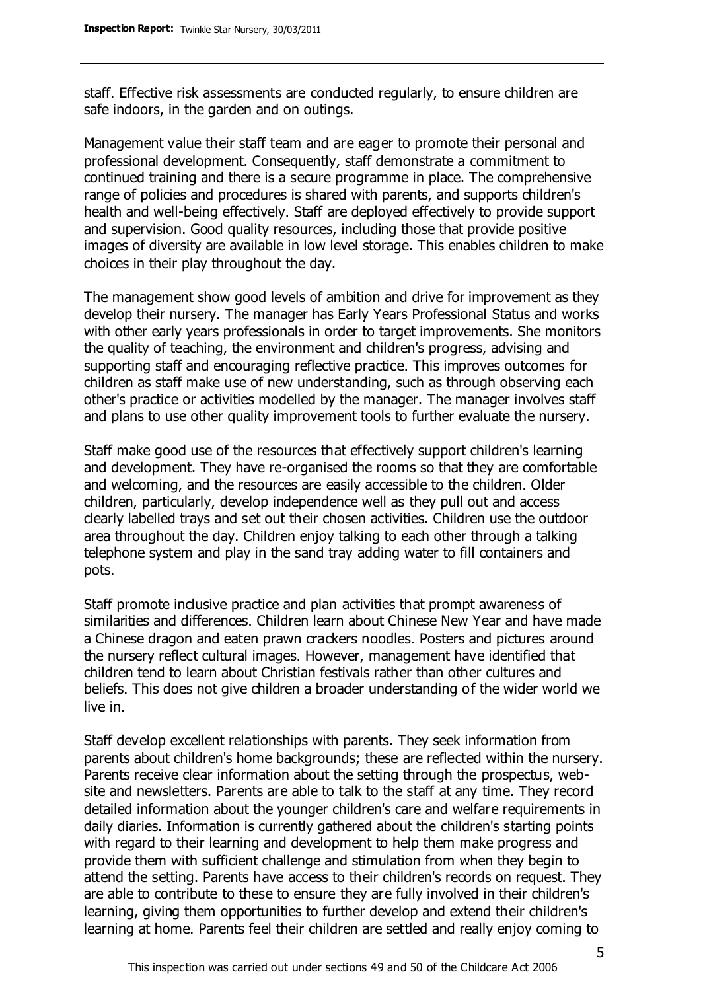staff. Effective risk assessments are conducted regularly, to ensure children are safe indoors, in the garden and on outings.

Management value their staff team and are eager to promote their personal and professional development. Consequently, staff demonstrate a commitment to continued training and there is a secure programme in place. The comprehensive range of policies and procedures is shared with parents, and supports children's health and well-being effectively. Staff are deployed effectively to provide support and supervision. Good quality resources, including those that provide positive images of diversity are available in low level storage. This enables children to make choices in their play throughout the day.

The management show good levels of ambition and drive for improvement as they develop their nursery. The manager has Early Years Professional Status and works with other early years professionals in order to target improvements. She monitors the quality of teaching, the environment and children's progress, advising and supporting staff and encouraging reflective practice. This improves outcomes for children as staff make use of new understanding, such as through observing each other's practice or activities modelled by the manager. The manager involves staff and plans to use other quality improvement tools to further evaluate the nursery.

Staff make good use of the resources that effectively support children's learning and development. They have re-organised the rooms so that they are comfortable and welcoming, and the resources are easily accessible to the children. Older children, particularly, develop independence well as they pull out and access clearly labelled trays and set out their chosen activities. Children use the outdoor area throughout the day. Children enjoy talking to each other through a talking telephone system and play in the sand tray adding water to fill containers and pots.

Staff promote inclusive practice and plan activities that prompt awareness of similarities and differences. Children learn about Chinese New Year and have made a Chinese dragon and eaten prawn crackers noodles. Posters and pictures around the nursery reflect cultural images. However, management have identified that children tend to learn about Christian festivals rather than other cultures and beliefs. This does not give children a broader understanding of the wider world we live in.

Staff develop excellent relationships with parents. They seek information from parents about children's home backgrounds; these are reflected within the nursery. Parents receive clear information about the setting through the prospectus, website and newsletters. Parents are able to talk to the staff at any time. They record detailed information about the younger children's care and welfare requirements in daily diaries. Information is currently gathered about the children's starting points with regard to their learning and development to help them make progress and provide them with sufficient challenge and stimulation from when they begin to attend the setting. Parents have access to their children's records on request. They are able to contribute to these to ensure they are fully involved in their children's learning, giving them opportunities to further develop and extend their children's learning at home. Parents feel their children are settled and really enjoy coming to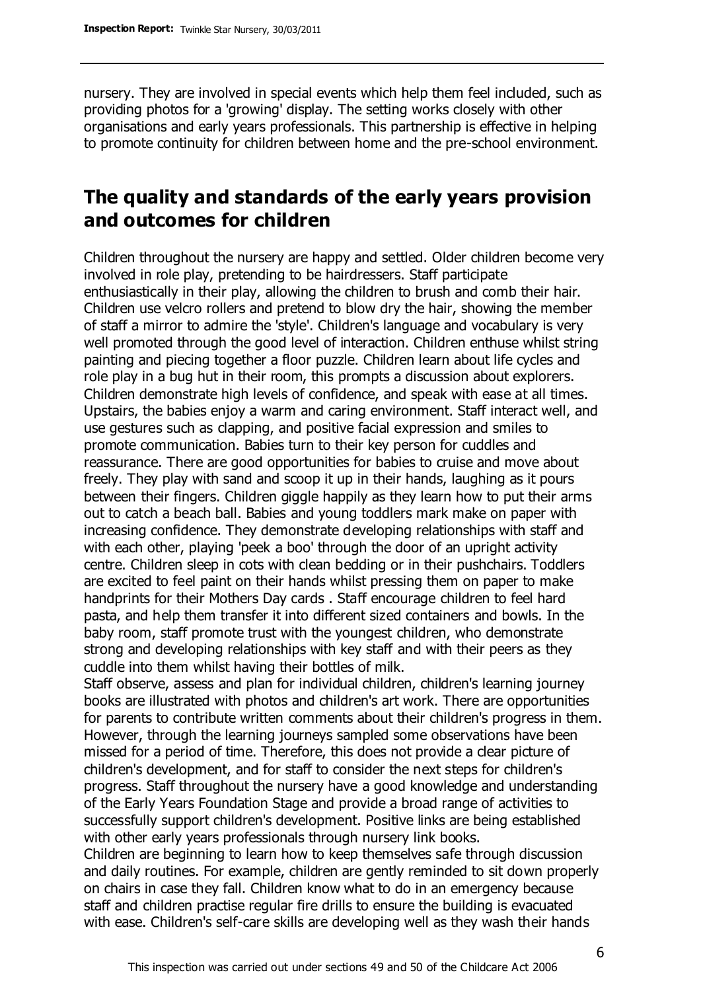nursery. They are involved in special events which help them feel included, such as providing photos for a 'growing' display. The setting works closely with other organisations and early years professionals. This partnership is effective in helping to promote continuity for children between home and the pre-school environment.

### **The quality and standards of the early years provision and outcomes for children**

Children throughout the nursery are happy and settled. Older children become very involved in role play, pretending to be hairdressers. Staff participate enthusiastically in their play, allowing the children to brush and comb their hair. Children use velcro rollers and pretend to blow dry the hair, showing the member of staff a mirror to admire the 'style'. Children's language and vocabulary is very well promoted through the good level of interaction. Children enthuse whilst string painting and piecing together a floor puzzle. Children learn about life cycles and role play in a bug hut in their room, this prompts a discussion about explorers. Children demonstrate high levels of confidence, and speak with ease at all times. Upstairs, the babies enjoy a warm and caring environment. Staff interact well, and use gestures such as clapping, and positive facial expression and smiles to promote communication. Babies turn to their key person for cuddles and reassurance. There are good opportunities for babies to cruise and move about freely. They play with sand and scoop it up in their hands, laughing as it pours between their fingers. Children giggle happily as they learn how to put their arms out to catch a beach ball. Babies and young toddlers mark make on paper with increasing confidence. They demonstrate developing relationships with staff and with each other, playing 'peek a boo' through the door of an upright activity centre. Children sleep in cots with clean bedding or in their pushchairs. Toddlers are excited to feel paint on their hands whilst pressing them on paper to make handprints for their Mothers Day cards . Staff encourage children to feel hard pasta, and help them transfer it into different sized containers and bowls. In the baby room, staff promote trust with the youngest children, who demonstrate strong and developing relationships with key staff and with their peers as they cuddle into them whilst having their bottles of milk.

Staff observe, assess and plan for individual children, children's learning journey books are illustrated with photos and children's art work. There are opportunities for parents to contribute written comments about their children's progress in them. However, through the learning journeys sampled some observations have been missed for a period of time. Therefore, this does not provide a clear picture of children's development, and for staff to consider the next steps for children's progress. Staff throughout the nursery have a good knowledge and understanding of the Early Years Foundation Stage and provide a broad range of activities to successfully support children's development. Positive links are being established with other early years professionals through nursery link books.

Children are beginning to learn how to keep themselves safe through discussion and daily routines. For example, children are gently reminded to sit down properly on chairs in case they fall. Children know what to do in an emergency because staff and children practise regular fire drills to ensure the building is evacuated with ease. Children's self-care skills are developing well as they wash their hands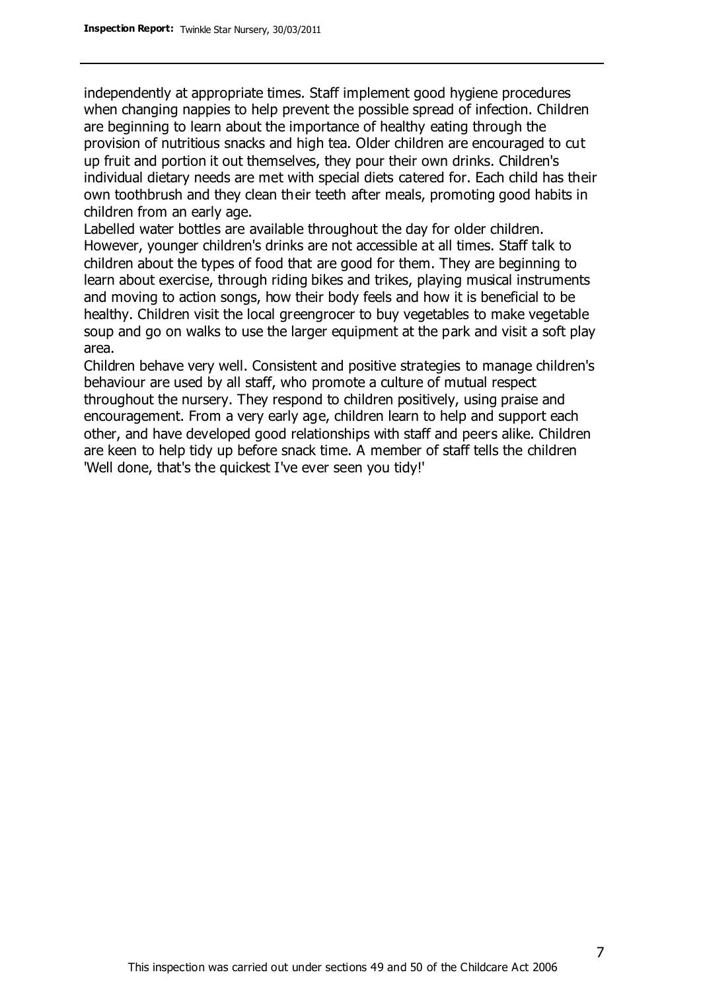independently at appropriate times. Staff implement good hygiene procedures when changing nappies to help prevent the possible spread of infection. Children are beginning to learn about the importance of healthy eating through the provision of nutritious snacks and high tea. Older children are encouraged to cut up fruit and portion it out themselves, they pour their own drinks. Children's individual dietary needs are met with special diets catered for. Each child has their own toothbrush and they clean their teeth after meals, promoting good habits in children from an early age.

Labelled water bottles are available throughout the day for older children. However, younger children's drinks are not accessible at all times. Staff talk to children about the types of food that are good for them. They are beginning to learn about exercise, through riding bikes and trikes, playing musical instruments and moving to action songs, how their body feels and how it is beneficial to be healthy. Children visit the local greengrocer to buy vegetables to make vegetable soup and go on walks to use the larger equipment at the park and visit a soft play area.

Children behave very well. Consistent and positive strategies to manage children's behaviour are used by all staff, who promote a culture of mutual respect throughout the nursery. They respond to children positively, using praise and encouragement. From a very early age, children learn to help and support each other, and have developed good relationships with staff and peers alike. Children are keen to help tidy up before snack time. A member of staff tells the children 'Well done, that's the quickest I've ever seen you tidy!'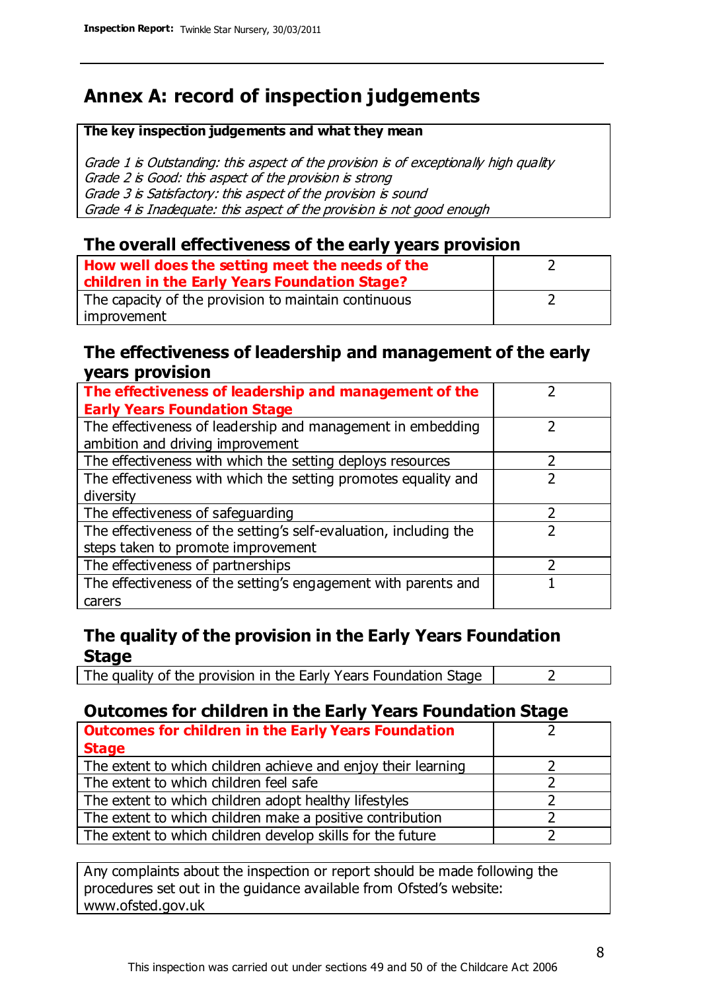# **Annex A: record of inspection judgements**

#### **The key inspection judgements and what they mean**

Grade 1 is Outstanding: this aspect of the provision is of exceptionally high quality Grade 2 is Good: this aspect of the provision is strong Grade 3 is Satisfactory: this aspect of the provision is sound Grade 4 is Inadequate: this aspect of the provision is not good enough

#### **The overall effectiveness of the early years provision**

| How well does the setting meet the needs of the<br>children in the Early Years Foundation Stage? |  |
|--------------------------------------------------------------------------------------------------|--|
| The capacity of the provision to maintain continuous                                             |  |
| improvement                                                                                      |  |

#### **The effectiveness of leadership and management of the early years provision**

| The effectiveness of leadership and management of the             |  |
|-------------------------------------------------------------------|--|
| <b>Early Years Foundation Stage</b>                               |  |
| The effectiveness of leadership and management in embedding       |  |
| ambition and driving improvement                                  |  |
| The effectiveness with which the setting deploys resources        |  |
| The effectiveness with which the setting promotes equality and    |  |
| diversity                                                         |  |
| The effectiveness of safeguarding                                 |  |
| The effectiveness of the setting's self-evaluation, including the |  |
| steps taken to promote improvement                                |  |
| The effectiveness of partnerships                                 |  |
| The effectiveness of the setting's engagement with parents and    |  |
| carers                                                            |  |

### **The quality of the provision in the Early Years Foundation Stage**

The quality of the provision in the Early Years Foundation Stage  $\vert$  2

### **Outcomes for children in the Early Years Foundation Stage**

| <b>Outcomes for children in the Early Years Foundation</b>    |  |
|---------------------------------------------------------------|--|
| <b>Stage</b>                                                  |  |
| The extent to which children achieve and enjoy their learning |  |
| The extent to which children feel safe                        |  |
| The extent to which children adopt healthy lifestyles         |  |
| The extent to which children make a positive contribution     |  |
| The extent to which children develop skills for the future    |  |

Any complaints about the inspection or report should be made following the procedures set out in the guidance available from Ofsted's website: www.ofsted.gov.uk